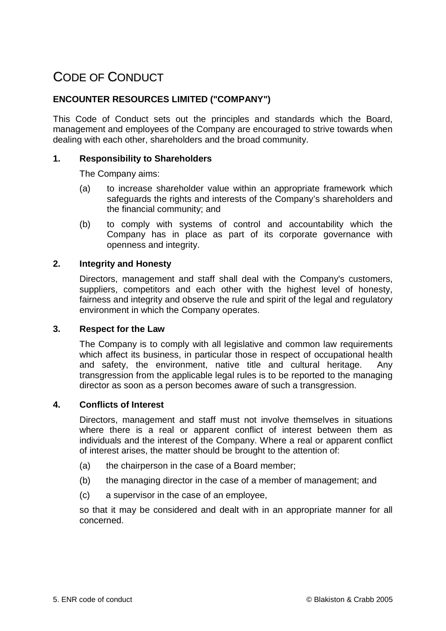# CODE OF CONDUCT

## **ENCOUNTER RESOURCES LIMITED ("COMPANY")**

This Code of Conduct sets out the principles and standards which the Board, management and employees of the Company are encouraged to strive towards when dealing with each other, shareholders and the broad community.

## **1. Responsibility to Shareholders**

The Company aims:

- (a) to increase shareholder value within an appropriate framework which safeguards the rights and interests of the Company's shareholders and the financial community; and
- (b) to comply with systems of control and accountability which the Company has in place as part of its corporate governance with openness and integrity.

#### **2. Integrity and Honesty**

Directors, management and staff shall deal with the Company's customers, suppliers, competitors and each other with the highest level of honesty, fairness and integrity and observe the rule and spirit of the legal and regulatory environment in which the Company operates.

#### **3. Respect for the Law**

The Company is to comply with all legislative and common law requirements which affect its business, in particular those in respect of occupational health and safety, the environment, native title and cultural heritage. Any transgression from the applicable legal rules is to be reported to the managing director as soon as a person becomes aware of such a transgression.

#### **4. Conflicts of Interest**

Directors, management and staff must not involve themselves in situations where there is a real or apparent conflict of interest between them as individuals and the interest of the Company. Where a real or apparent conflict of interest arises, the matter should be brought to the attention of:

- (a) the chairperson in the case of a Board member;
- (b) the managing director in the case of a member of management; and
- (c) a supervisor in the case of an employee,

so that it may be considered and dealt with in an appropriate manner for all concerned.